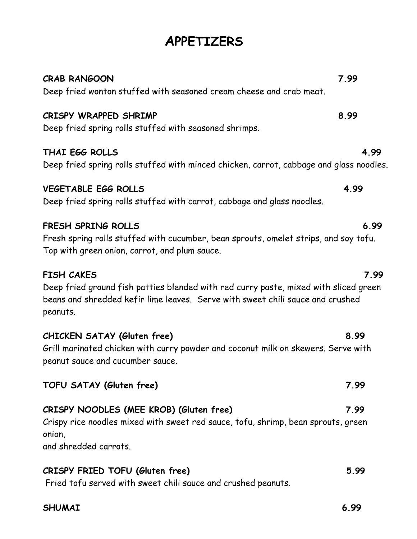# **APPETIZERS**

| <b>CRAB RANGOON</b><br>Deep fried wonton stuffed with seasoned cream cheese and crab meat.                                                                                                              | 7.99 |
|---------------------------------------------------------------------------------------------------------------------------------------------------------------------------------------------------------|------|
| CRISPY WRAPPED SHRIMP<br>Deep fried spring rolls stuffed with seasoned shrimps.                                                                                                                         | 8.99 |
| THAI EGG ROLLS<br>Deep fried spring rolls stuffed with minced chicken, carrot, cabbage and glass noodles.                                                                                               | 4.99 |
| <b>VEGETABLE EGG ROLLS</b><br>Deep fried spring rolls stuffed with carrot, cabbage and glass noodles.                                                                                                   | 4.99 |
| FRESH SPRING ROLLS<br>Fresh spring rolls stuffed with cucumber, bean sprouts, omelet strips, and soy tofu.<br>Top with green onion, carrot, and plum sauce.                                             | 6.99 |
| <b>FISH CAKES</b><br>Deep fried ground fish patties blended with red curry paste, mixed with sliced green<br>beans and shredded kefir lime leaves. Serve with sweet chili sauce and crushed<br>peanuts. | 7.99 |
| CHICKEN SATAY (Gluten free)<br>Grill marinated chicken with curry powder and coconut milk on skewers. Serve with<br>peanut sauce and cucumber sauce.                                                    | 8.99 |
| TOFU SATAY (Gluten free)                                                                                                                                                                                | 7.99 |
| CRISPY NOODLES (MEE KROB) (Gluten free)<br>Crispy rice noodles mixed with sweet red sauce, tofu, shrimp, bean sprouts, green<br>onion,<br>and shredded carrots.                                         | 7.99 |

Fried tofu served with sweet chili sauce and crushed peanuts.

**CRISPY FRIED TOFU (Gluten free) 5.99**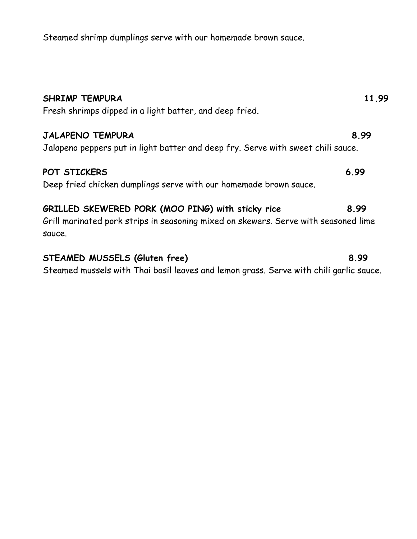Steamed shrimp dumplings serve with our homemade brown sauce.

| <b>SHRIMP TEMPURA</b><br>Fresh shrimps dipped in a light batter, and deep fried.                                                                   | 11.99 |
|----------------------------------------------------------------------------------------------------------------------------------------------------|-------|
| <b>JALAPENO TEMPURA</b><br>Jalapeno peppers put in light batter and deep fry. Serve with sweet chili sauce.                                        | 8.99  |
| POT STICKERS<br>Deep fried chicken dumplings serve with our homemade brown sauce.                                                                  | 6.99  |
| GRILLED SKEWERED PORK (MOO PING) with sticky rice<br>Grill marinated pork strips in seasoning mixed on skewers. Serve with seasoned lime<br>sauce. | 8.99  |
| STEAMED MUSSELS (Gluten free)                                                                                                                      | 8.99  |

Steamed mussels with Thai basil leaves and lemon grass. Serve with chili garlic sauce.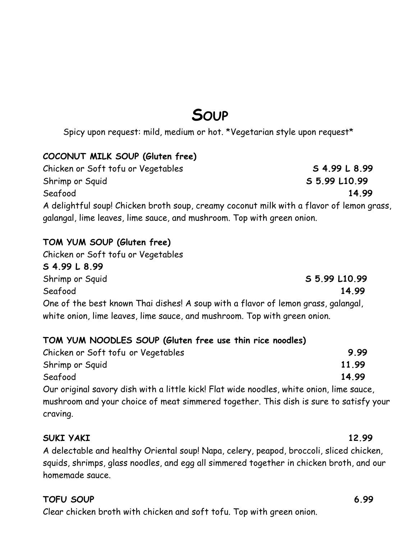# **SOUP**

Spicy upon request: mild, medium or hot. \*Vegetarian style upon request\*

### **COCONUT MILK SOUP (Gluten free)**

Chicken or Soft tofu or Vegetables **S 4.99 L 8.99** Shrimp or Squid **S 5.99 L10.99**  Seafood **14.99** A delightful soup! Chicken broth soup, creamy coconut milk with a flavor of lemon grass, galangal, lime leaves, lime sauce, and mushroom. Top with green onion.

### **TOM YUM SOUP (Gluten free)**

Chicken or Soft tofu or Vegetables **S 4.99 L 8.99** Shrimp or Squid 3.5.99 L10.99 Seafood **14.99** One of the best known Thai dishes! A soup with a flavor of lemon grass, galangal, white onion, lime leaves, lime sauce, and mushroom. Top with green onion.

### **TOM YUM NOODLES SOUP (Gluten free use thin rice noodles)**

| 9.99  |
|-------|
| 11.99 |
| 14.99 |
|       |

Our original savory dish with a little kick! Flat wide noodles, white onion, lime sauce, mushroom and your choice of meat simmered together. This dish is sure to satisfy your craving.

#### **SUKI YAKI 12.99**

A delectable and healthy Oriental soup! Napa, celery, peapod, broccoli, sliced chicken, squids, shrimps, glass noodles, and egg all simmered together in chicken broth, and our homemade sauce.

### **TOFU SOUP 6.99**

Clear chicken broth with chicken and soft tofu. Top with green onion.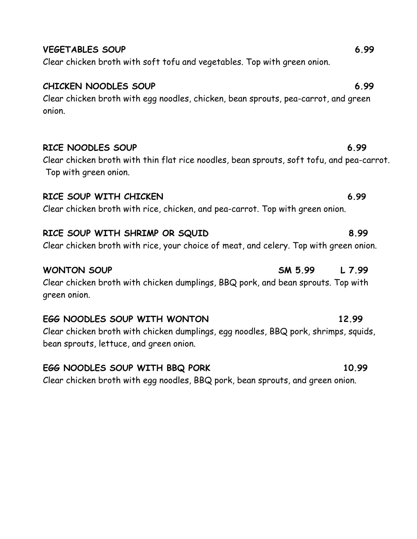| Ciedi Chicken Di UTII WITH egg nobules, Chicken, Deun Spi Uuts, peu-cui FUT, und gi een<br>onion.               |         |        |
|-----------------------------------------------------------------------------------------------------------------|---------|--------|
|                                                                                                                 |         |        |
| RICE NOODLES SOUP                                                                                               |         | 6.99   |
| Clear chicken broth with thin flat rice noodles, bean sprouts, soft tofu, and pea-carı<br>Top with green onion. |         |        |
| RICE SOUP WITH CHICKEN                                                                                          |         | 6.99   |
| Clear chicken broth with rice, chicken, and pea-carrot. Top with green onion.                                   |         |        |
| RICE SOUP WITH SHRIMP OR SQUID                                                                                  |         | 8.99   |
| Clear chicken broth with rice, your choice of meat, and celery. Top with green onion.                           |         |        |
| <b>WONTON SOUP</b>                                                                                              | SM 5.99 | L 7.99 |
| Clean chielen buath with chielen dumplines $DDQ$ pank and been spreuts. Top with                                |         |        |

Clear chicken broth with chicken dumplings, BBQ pork, and bean sprouts. Top with green onion.

### **EGG NOODLES SOUP WITH WONTON 12.99** Clear chicken broth with chicken dumplings, egg noodles, BBQ pork, shrimps, squids, bean sprouts, lettuce, and green onion.

# **EGG NOODLES SOUP WITH BBQ PORK 10.99**

Clear chicken broth with egg noodles, BBQ pork, bean sprouts, and green onion.

## **VEGETABLES SOUP** 6.99

# Clear chicken broth with soft tofu and vegetables. Top with green onion.

**CHICKEN NOODLES SOUP 6.99** Clear chicken broth with egg noodles, chicken, bean sprouts, peg-carrot, and green onio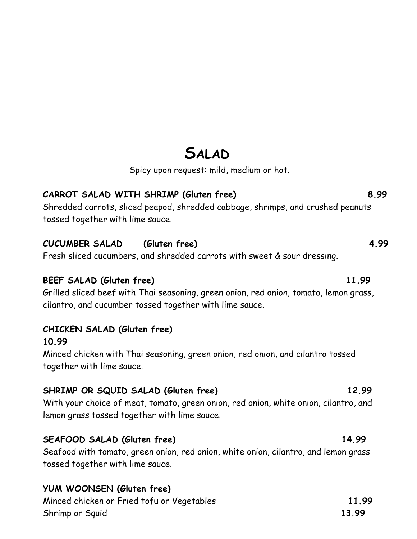# **SALAD**

Spicy upon request: mild, medium or hot.

## **CARROT SALAD WITH SHRIMP (Gluten free) 8.99**

Shredded carrots, sliced peapod, shredded cabbage, shrimps, and crushed peanuts tossed together with lime sauce.

### **CUCUMBER SALAD (Gluten free) 4.99**

Fresh sliced cucumbers, and shredded carrots with sweet & sour dressing.

#### **BEEF SALAD (Gluten free) 11.99**

Grilled sliced beef with Thai seasoning, green onion, red onion, tomato, lemon grass, cilantro, and cucumber tossed together with lime sauce.

### **CHICKEN SALAD (Gluten free)**

#### **10.99**

Minced chicken with Thai seasoning, green onion, red onion, and cilantro tossed together with lime sauce.

### **SHRIMP OR SQUID SALAD (Gluten free) 12.99**

With your choice of meat, tomato, green onion, red onion, white onion, cilantro, and lemon grass tossed together with lime sauce.

### **SEAFOOD SALAD (Gluten free) 14.99**

Seafood with tomato, green onion, red onion, white onion, cilantro, and lemon grass tossed together with lime sauce.

## **YUM WOONSEN (Gluten free)**

Minced chicken or Fried tofu or Vegetables **11.99** Shrimp or Squid 13.99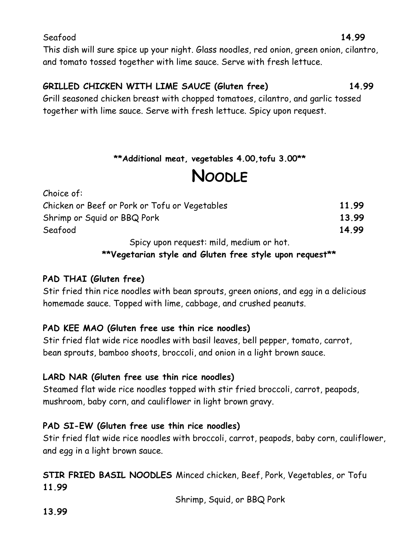This dish will sure spice up your night. Glass noodles, red onion, green onion, cilantro, and tomato tossed together with lime sauce. Serve with fresh lettuce.

# **GRILLED CHICKEN WITH LIME SAUCE (Gluten free) 14.99**

Grill seasoned chicken breast with chopped tomatoes, cilantro, and garlic tossed together with lime sauce. Serve with fresh lettuce. Spicy upon request.

## **\*\*Additional meat, vegetables 4.00,tofu 3.00\*\***

# **NOODLE**

| Choice of:                                    |       |
|-----------------------------------------------|-------|
| Chicken or Beef or Pork or Tofu or Vegetables | 11.99 |
| Shrimp or Squid or BBQ Pork                   | 13.99 |
| Seafood                                       | 14.99 |
| Spicy upon request: mild, medium or hot.      |       |

 **\*\*Vegetarian style and Gluten free style upon request\*\*** 

## **PAD THAI (Gluten free)**

Stir fried thin rice noodles with bean sprouts, green onions, and egg in a delicious homemade sauce. Topped with lime, cabbage, and crushed peanuts.

## **PAD KEE MAO (Gluten free use thin rice noodles)**

Stir fried flat wide rice noodles with basil leaves, bell pepper, tomato, carrot, bean sprouts, bamboo shoots, broccoli, and onion in a light brown sauce.

## **LARD NAR (Gluten free use thin rice noodles)**

Steamed flat wide rice noodles topped with stir fried broccoli, carrot, peapods, mushroom, baby corn, and cauliflower in light brown gravy.

## **PAD SI-EW (Gluten free use thin rice noodles)**

Stir fried flat wide rice noodles with broccoli, carrot, peapods, baby corn, cauliflower, and egg in a light brown sauce.

**STIR FRIED BASIL NOODLES** Minced chicken, Beef, Pork, Vegetables, or Tofu **11.99**

Shrimp, Squid, or BBQ Pork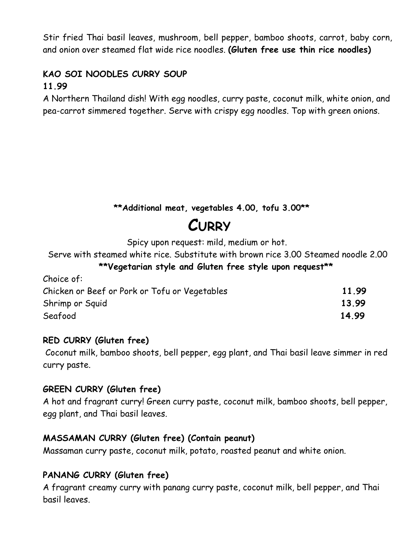Stir fried Thai basil leaves, mushroom, bell pepper, bamboo shoots, carrot, baby corn, and onion over steamed flat wide rice noodles. **(Gluten free use thin rice noodles)**

#### **KAO SOI NOODLES CURRY SOUP 11.99**

A Northern Thailand dish! With egg noodles, curry paste, coconut milk, white onion, and pea-carrot simmered together. Serve with crispy egg noodles. Top with green onions.

## **\*\*Additional meat, vegetables 4.00, tofu 3.00\*\***

# **CURRY**

Spicy upon request: mild, medium or hot.

Serve with steamed white rice. Substitute with brown rice 3.00 Steamed noodle 2.00

### **\*\*Vegetarian style and Gluten free style upon request\*\***

| Choice of:                                    |       |
|-----------------------------------------------|-------|
| Chicken or Beef or Pork or Tofu or Vegetables | 11.99 |
| Shrimp or Squid                               | 13.99 |
| Seafood                                       | 14.99 |

#### **RED CURRY (Gluten free)**

 Coconut milk, bamboo shoots, bell pepper, egg plant, and Thai basil leave simmer in red curry paste.

#### **GREEN CURRY (Gluten free)**

A hot and fragrant curry! Green curry paste, coconut milk, bamboo shoots, bell pepper, egg plant, and Thai basil leaves.

### **MASSAMAN CURRY (Gluten free) (Contain peanut)**

Massaman curry paste, coconut milk, potato, roasted peanut and white onion.

### **PANANG CURRY (Gluten free)**

A fragrant creamy curry with panang curry paste, coconut milk, bell pepper, and Thai basil leaves.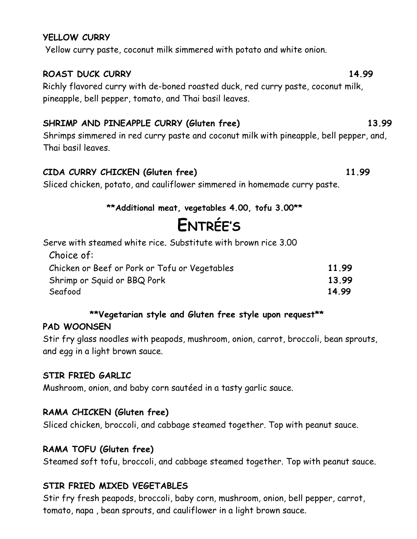#### **YELLOW CURRY**

Yellow curry paste, coconut milk simmered with potato and white onion.

#### **ROAST DUCK CURRY 14.99**

Richly flavored curry with de-boned roasted duck, red curry paste, coconut milk, pineapple, bell pepper, tomato, and Thai basil leaves.

## **SHRIMP AND PINEAPPLE CURRY (Gluten free) 13.99**

Shrimps simmered in red curry paste and coconut milk with pineapple, bell pepper, and, Thai basil leaves.

### **CIDA CURRY CHICKEN (Gluten free) 11.99**

Sliced chicken, potato, and cauliflower simmered in homemade curry paste.

### **\*\*Additional meat, vegetables 4.00, tofu 3.00\*\***

# **ENTRÉE'S**

Serve with steamed white rice. Substitute with brown rice 3.00

| Choice of:                                    |       |
|-----------------------------------------------|-------|
| Chicken or Beef or Pork or Tofu or Vegetables | 11.99 |
| Shrimp or Squid or BBQ Pork                   | 13.99 |
| Seafood                                       | 14.99 |

### **\*\*Vegetarian style and Gluten free style upon request\*\***

### **PAD WOONSEN**

Stir fry glass noodles with peapods, mushroom, onion, carrot, broccoli, bean sprouts, and egg in a light brown sauce.

### **STIR FRIED GARLIC**

Mushroom, onion, and baby corn sautéed in a tasty garlic sauce.

### **RAMA CHICKEN (Gluten free)**

Sliced chicken, broccoli, and cabbage steamed together. Top with peanut sauce.

### **RAMA TOFU (Gluten free)**

Steamed soft tofu, broccoli, and cabbage steamed together. Top with peanut sauce.

## **STIR FRIED MIXED VEGETABLES**

Stir fry fresh peapods, broccoli, baby corn, mushroom, onion, bell pepper, carrot, tomato, napa , bean sprouts, and cauliflower in a light brown sauce.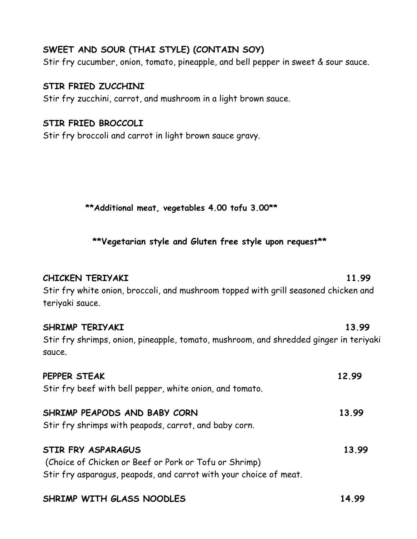#### **SWEET AND SOUR (THAI STYLE) (CONTAIN SOY)**

Stir fry cucumber, onion, tomato, pineapple, and bell pepper in sweet & sour sauce.

#### **STIR FRIED ZUCCHINI**

Stir fry zucchini, carrot, and mushroom in a light brown sauce.

#### **STIR FRIED BROCCOLI**

Stir fry broccoli and carrot in light brown sauce gravy.

 **\*\*Additional meat, vegetables 4.00 tofu 3.00\*\***

 **\*\*Vegetarian style and Gluten free style upon request\*\***

| <b>CHICKEN TERIYAKI</b><br>Stir fry white onion, broccoli, and mushroom topped with grill seasoned chicken and<br>teriyaki sauce.                       | 11.99 |
|---------------------------------------------------------------------------------------------------------------------------------------------------------|-------|
| SHRIMP TERIYAKI<br>Stir fry shrimps, onion, pineapple, tomato, mushroom, and shredded ginger in teriyaki<br>sauce.                                      | 13.99 |
| PEPPER STEAK<br>Stir fry beef with bell pepper, white onion, and tomato.                                                                                | 12.99 |
| SHRIMP PEAPODS AND BABY CORN<br>Stir fry shrimps with peapods, carrot, and baby corn.                                                                   | 13.99 |
| <b>STIR FRY ASPARAGUS</b><br>(Choice of Chicken or Beef or Pork or Tofu or Shrimp)<br>Stir fry asparagus, peapods, and carrot with your choice of meat. | 13.99 |

**SHRIMP WITH GLASS NOODLES 14.99**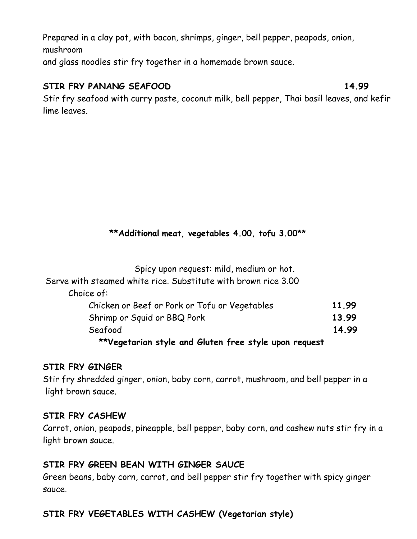Prepared in a clay pot, with bacon, shrimps, ginger, bell pepper, peapods, onion, mushroom and glass noodles stir fry together in a homemade brown sauce.

#### **STIR FRY PANANG SEAFOOD** 14.99

Stir fry seafood with curry paste, coconut milk, bell pepper, Thai basil leaves, and kefir lime leaves.

### **\*\*Additional meat, vegetables 4.00, tofu 3.00\*\***

| Spicy upon request: mild, medium or hot.                       |       |
|----------------------------------------------------------------|-------|
| Serve with steamed white rice. Substitute with brown rice 3.00 |       |
| Choice of:                                                     |       |
| Chicken or Beef or Pork or Tofu or Vegetables                  | 11.99 |
| Shrimp or Squid or BBQ Pork                                    | 13.99 |
| Seafood                                                        | 14.99 |
| **\/saatanisu stule sud Cluten fuse stule waar nasusat         |       |

#### **\*\*Vegetarian style and Gluten free style upon request**

#### **STIR FRY GINGER**

Stir fry shredded ginger, onion, baby corn, carrot, mushroom, and bell pepper in a light brown sauce.

#### **STIR FRY CASHEW**

Carrot, onion, peapods, pineapple, bell pepper, baby corn, and cashew nuts stir fry in a light brown sauce.

### **STIR FRY GREEN BEAN WITH GINGER SAUCE**

Green beans, baby corn, carrot, and bell pepper stir fry together with spicy ginger sauce.

## **STIR FRY VEGETABLES WITH CASHEW (Vegetarian style)**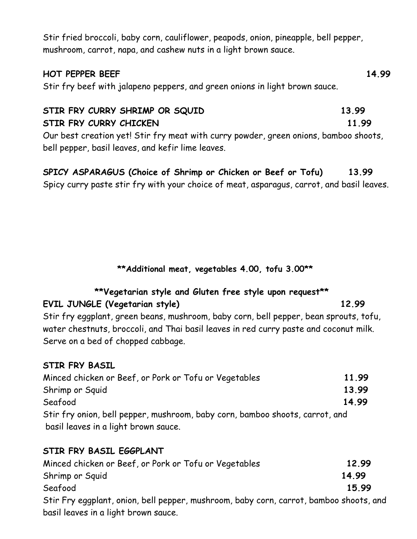Stir fried broccoli, baby corn, cauliflower, peapods, onion, pineapple, bell pepper, mushroom, carrot, napa, and cashew nuts in a light brown sauce.

#### **HOT PEPPER BEEF 14.99**

Stir fry beef with jalapeno peppers, and green onions in light brown sauce.

#### STIR FRY CURRY SHRIMP OR SQUID 13.99 **STIR FRY CURRY CHICKEN** 11.99

Our best creation yet! Stir fry meat with curry powder, green onions, bamboo shoots, bell pepper, basil leaves, and kefir lime leaves.

# **SPICY ASPARAGUS (Choice of Shrimp or Chicken or Beef or Tofu) 13.99**

Spicy curry paste stir fry with your choice of meat, asparagus, carrot, and basil leaves.

 **\*\*Additional meat, vegetables 4.00, tofu 3.00\*\***

# **\*\*Vegetarian style and Gluten free style upon request\*\***

### **EVIL JUNGLE (Vegetarian style) 12.99**

Stir fry eggplant, green beans, mushroom, baby corn, bell pepper, bean sprouts, tofu, water chestnuts, broccoli, and Thai basil leaves in red curry paste and coconut milk. Serve on a bed of chopped cabbage.

### **STIR FRY BASIL**

| Minced chicken or Beef, or Pork or Tofu or Vegetables                        | 11.99 |
|------------------------------------------------------------------------------|-------|
| Shrimp or Squid                                                              | 13.99 |
| Seafood                                                                      | 14.99 |
| Stir fry onion, bell pepper, mushroom, baby corn, bamboo shoots, carrot, and |       |
| basil leaves in a light brown sauce.                                         |       |

## **STIR FRY BASIL EGGPLANT**

| Minced chicken or Beef, or Pork or Tofu or Vegetables                                  | 12.99 |
|----------------------------------------------------------------------------------------|-------|
| Shrimp or Squid                                                                        | 14.99 |
| Seafood                                                                                | 15.99 |
| Stir Fry eggplant, onion, bell pepper, mushroom, baby corn, carrot, bamboo shoots, and |       |
| basil leaves in a light brown sauce.                                                   |       |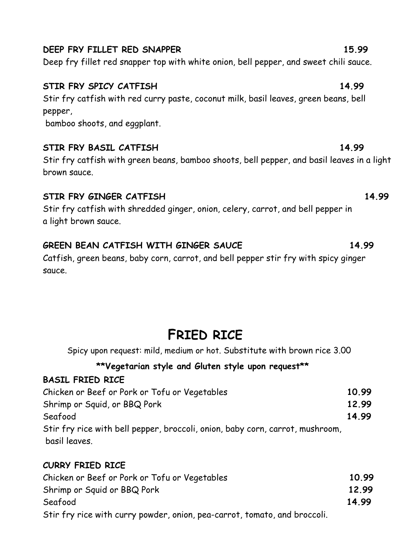# Deep fry fillet red snapper top with white onion, bell pepper, and sweet chili sauce.

# **STIR FRY SPICY CATFISH 14.99**

Stir fry catfish with red curry paste, coconut milk, basil leaves, green beans, bell pepper,

bamboo shoots, and eggplant.

## **STIR FRY BASIL CATFISH 14.99**

Stir fry catfish with green beans, bamboo shoots, bell pepper, and basil leaves in a light brown sauce.

## **STIR FRY GINGER CATFISH 14.99**

Stir fry catfish with shredded ginger, onion, celery, carrot, and bell pepper in a light brown sauce.

# **GREEN BEAN CATFISH WITH GINGER SAUCE 14.99**

Catfish, green beans, baby corn, carrot, and bell pepper stir fry with spicy ginger sauce.

# **FRIED RICE**

Spicy upon request: mild, medium or hot. Substitute with brown rice 3.00

# **\*\*Vegetarian style and Gluten style upon request\*\***

## **BASIL FRIED RICE**

| Chicken or Beef or Pork or Tofu or Vegetables                                 | 10.99 |
|-------------------------------------------------------------------------------|-------|
| Shrimp or Squid, or BBQ Pork                                                  | 12.99 |
| Seafood                                                                       | 14.99 |
| Stir fry rice with bell pepper, broccoli, onion, baby corn, carrot, mushroom, |       |
| basil leaves.                                                                 |       |

# **CURRY FRIED RICE**

| Chicken or Beef or Pork or Tofu or Vegetables                             | 10.99 |
|---------------------------------------------------------------------------|-------|
| Shrimp or Squid or BBQ Pork                                               | 12.99 |
| Seafood                                                                   | 14.99 |
| Stir fry rice with curry powder, onion, pea-carrot, tomato, and broccoli. |       |

# **DEEP FRY FILLET RED SNAPPER 15.99**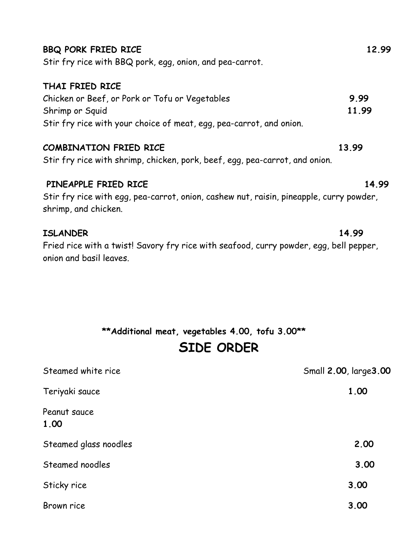| <b>BBQ PORK FRIED RICE</b><br>Stir fry rice with BBQ pork, egg, onion, and pea-carrot.                                                                      | 12.99                  |
|-------------------------------------------------------------------------------------------------------------------------------------------------------------|------------------------|
| THAI FRIED RICE<br>Chicken or Beef, or Pork or Tofu or Vegetables<br>Shrimp or Squid<br>Stir fry rice with your choice of meat, egg, pea-carrot, and onion. | 9.99<br>11.99          |
| <b>COMBINATION FRIED RICE</b><br>Stir fry rice with shrimp, chicken, pork, beef, egg, pea-carrot, and onion.                                                | 13.99                  |
| PINEAPPLE FRIED RICE<br>Stir fry rice with egg, pea-carrot, onion, cashew nut, raisin, pineapple, curry powder,<br>shrimp, and chicken.                     | 14.99                  |
| <b>ISLANDER</b><br>Fried rice with a twist! Savory fry rice with seafood, curry powder, egg, bell pepper,<br>onion and basil leaves.                        | 14.99                  |
| **Additional meat, vegetables 4.00, tofu 3.00**<br>SIDE ORDER                                                                                               |                        |
| Steamed white rice                                                                                                                                          | Small 2.00, large 3.00 |
| Teriyaki sauce                                                                                                                                              | 1.00                   |
| Peanut sauce<br>1.00                                                                                                                                        |                        |
| Steamed glass noodles                                                                                                                                       | 2.00                   |

Steamed noodles **3.00**

Sticky rice 3.00

Brown rice **3.00**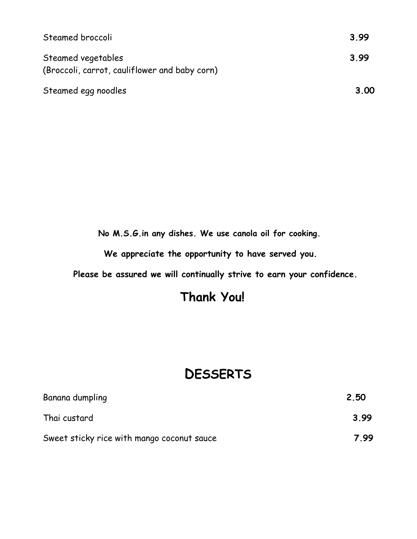| Steamed broccoli                                                    | 3.99 |
|---------------------------------------------------------------------|------|
| Steamed vegetables<br>(Broccoli, carrot, cauliflower and baby corn) | 3.99 |
| Steamed egg noodles                                                 | 3.00 |

 **No M.S.G.in any dishes. We use canola oil for cooking.**

**We appreciate the opportunity to have served you.** 

**Please be assured we will continually strive to earn your confidence.** 

# **Thank You!**

# **DESSERTS**

| Banana dumpling                            | 2.50 |
|--------------------------------------------|------|
| Thai custard                               | 3.99 |
| Sweet sticky rice with mango coconut sauce | 7.99 |